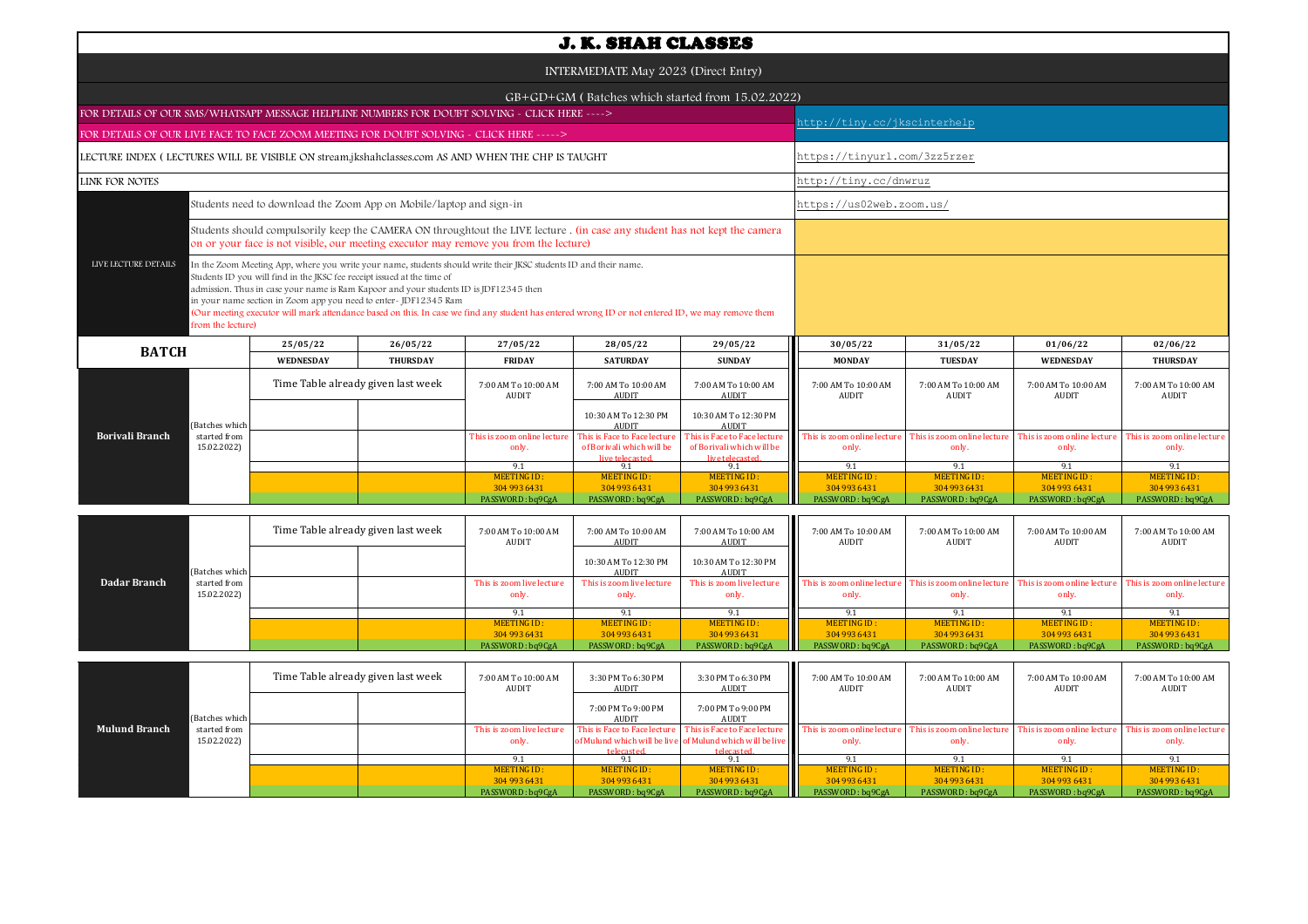| <b>J. K. SHAH CLASSES</b>                                                                                                                                                                                                                                                                                                                                                                                                                                                                                                                                 |                                                                                                         |                                    |                 |                                      |                                                           |                                                                              |                                      |                                      |                                      |                                      |  |  |
|-----------------------------------------------------------------------------------------------------------------------------------------------------------------------------------------------------------------------------------------------------------------------------------------------------------------------------------------------------------------------------------------------------------------------------------------------------------------------------------------------------------------------------------------------------------|---------------------------------------------------------------------------------------------------------|------------------------------------|-----------------|--------------------------------------|-----------------------------------------------------------|------------------------------------------------------------------------------|--------------------------------------|--------------------------------------|--------------------------------------|--------------------------------------|--|--|
| INTERMEDIATE May 2023 (Direct Entry)                                                                                                                                                                                                                                                                                                                                                                                                                                                                                                                      |                                                                                                         |                                    |                 |                                      |                                                           |                                                                              |                                      |                                      |                                      |                                      |  |  |
| GB+GD+GM (Batches which started from 15.02.2022)                                                                                                                                                                                                                                                                                                                                                                                                                                                                                                          |                                                                                                         |                                    |                 |                                      |                                                           |                                                                              |                                      |                                      |                                      |                                      |  |  |
| FOR DETAILS OF OUR SMS/WHATSAPP MESSAGE HELPLINE NUMBERS FOR DOUBT SOLVING - CLICK HERE ---->                                                                                                                                                                                                                                                                                                                                                                                                                                                             |                                                                                                         |                                    |                 |                                      |                                                           |                                                                              |                                      | http://tiny.cc/jkscinterhelp         |                                      |                                      |  |  |
| FOR DETAILS OF OUR LIVE FACE TO FACE ZOOM MEETING FOR DOUBT SOLVING - CLICK HERE ----->                                                                                                                                                                                                                                                                                                                                                                                                                                                                   |                                                                                                         |                                    |                 |                                      |                                                           |                                                                              |                                      |                                      |                                      |                                      |  |  |
| LECTURE INDEX (LECTURES WILL BE VISIBLE ON stream.jkshahclasses.com AS AND WHEN THE CHP IS TAUGHT                                                                                                                                                                                                                                                                                                                                                                                                                                                         |                                                                                                         |                                    |                 |                                      |                                                           |                                                                              |                                      | https://tinyurl.com/3zz5rzer         |                                      |                                      |  |  |
| LINK FOR NOTES                                                                                                                                                                                                                                                                                                                                                                                                                                                                                                                                            |                                                                                                         |                                    |                 |                                      |                                                           |                                                                              |                                      | http://tiny.cc/dnwruz                |                                      |                                      |  |  |
| Students need to download the Zoom App on Mobile/laptop and sign-in                                                                                                                                                                                                                                                                                                                                                                                                                                                                                       |                                                                                                         |                                    |                 |                                      |                                                           |                                                                              |                                      | https://us02web.zoom.us/             |                                      |                                      |  |  |
| Students should compulsorily keep the CAMERA ON throughtout the LIVE lecture . (in case any student has not kept the camera<br>on or your face is not visible, our meeting executor may remove you from the lecture)                                                                                                                                                                                                                                                                                                                                      |                                                                                                         |                                    |                 |                                      |                                                           |                                                                              |                                      |                                      |                                      |                                      |  |  |
| LIVE LECTURE DETAILS<br>In the Zoom Meeting App, where you write your name, students should write their JKSC students ID and their name.<br>Students ID you will find in the JKSC fee receipt issued at the time of<br>admission. Thus in case your name is Ram Kapoor and your students ID is JDF12345 then<br>in your name section in Zoom app you need to enter- JDF12345 Ram<br>(Our meeting executor will mark attendance based on this. In case we find any student has entered wrong ID or not entered ID, we may remove them<br>from the lecture) |                                                                                                         |                                    |                 |                                      |                                                           |                                                                              |                                      |                                      |                                      |                                      |  |  |
| <b>BATCH</b>                                                                                                                                                                                                                                                                                                                                                                                                                                                                                                                                              |                                                                                                         | 25/05/22                           | 26/05/22        | 27/05/22                             | 28/05/22                                                  | 29/05/22                                                                     | 30/05/22                             | 31/05/22                             | 01/06/22                             | 02/06/22                             |  |  |
|                                                                                                                                                                                                                                                                                                                                                                                                                                                                                                                                                           |                                                                                                         | <b>WEDNESDAY</b>                   | <b>THURSDAY</b> | <b>FRIDAY</b>                        | <b>SATURDAY</b>                                           | <b>SUNDAY</b>                                                                | <b>MONDAY</b>                        | <b>TUESDAY</b>                       | WEDNESDAY                            | <b>THURSDAY</b>                      |  |  |
|                                                                                                                                                                                                                                                                                                                                                                                                                                                                                                                                                           |                                                                                                         | Time Table already given last week |                 | 7:00 AM To 10:00 AM<br><b>AUDIT</b>  | 7:00 AM To 10:00 AM<br><b>AUDIT</b>                       | 7:00 AM To 10:00 AM<br><b>AUDIT</b>                                          | 7:00 AM To 10:00 AM<br>AUDIT         | 7:00 AM To 10:00 AM<br>AUDIT         | 7:00 AM To 10:00 AM<br>AUDIT         | 7:00 AM To 10:00 AM<br><b>AUDIT</b>  |  |  |
| (Batches whicl                                                                                                                                                                                                                                                                                                                                                                                                                                                                                                                                            |                                                                                                         |                                    |                 |                                      | 10:30 AM To 12:30 PM<br><b>AUDIT</b>                      | 10:30 AM To 12:30 PM<br><b>AUDIT</b>                                         |                                      |                                      |                                      |                                      |  |  |
| <b>Borivali Branch</b><br>started from<br>15.02.2022)                                                                                                                                                                                                                                                                                                                                                                                                                                                                                                     |                                                                                                         |                                    |                 | This is zoom online lecture<br>only. | This is Face to Face lecture<br>of Borivali which will be | This is Face to Face lecture<br>of Borivali which will be<br>live telecaster | This is zoom online lecture<br>only. | This is zoom online lecture<br>only. | This is zoom online lecture<br>only. | This is zoom online lecture<br>only. |  |  |
|                                                                                                                                                                                                                                                                                                                                                                                                                                                                                                                                                           |                                                                                                         |                                    |                 | 9.1<br><b>MEETING ID:</b>            | 9.1<br><b>MEETING ID:</b>                                 | 9.1<br><b>MEETING ID:</b>                                                    | 9.1<br><b>MEETING ID:</b>            | 9.1<br><b>MEETING ID:</b>            | 9.1<br><b>MEETING ID:</b>            | 9.1<br><b>MEETING ID:</b>            |  |  |
|                                                                                                                                                                                                                                                                                                                                                                                                                                                                                                                                                           |                                                                                                         |                                    |                 | 304 993 6431<br>PASSWORD: bq9CgA     | 304 993 6431<br>PASSWORD: bq9CgA                          | 304 993 6431<br>PASSWORD: bq9CgA                                             | 304 993 6431<br>PASSWORD: bq9CgA     | 304 993 6431<br>PASSWORD: bq9CgA     | 304 993 6431<br>PASSWORD: bq9CgA     | 304 993 6431<br>PASSWORD: bq9CgA     |  |  |
|                                                                                                                                                                                                                                                                                                                                                                                                                                                                                                                                                           | Time Table already given last week<br>7:00 AM To 10:00 AM<br>7:00 AM To 10:00 AM<br>7:00 AM To 10:00 AM |                                    |                 |                                      |                                                           |                                                                              | 7:00 AM To 10:00 AM                  | 7:00 AM To 10:00 AM                  | 7:00 AM To 10:00 AM                  | 7:00 AM To 10:00 AM                  |  |  |
| (Batches which                                                                                                                                                                                                                                                                                                                                                                                                                                                                                                                                            |                                                                                                         |                                    |                 | <b>AUDIT</b>                         | <b>AUDIT</b><br>10:30 AM To 12:30 PM<br><b>AUDIT</b>      | <b>AUDIT</b><br>10:30 AM To 12:30 PM<br><b>AUDIT</b>                         | <b>AUDIT</b>                         | AUDIT                                | AUDIT                                | <b>AUDIT</b>                         |  |  |
| Dadar Branch<br>started from<br>15.02.2022)                                                                                                                                                                                                                                                                                                                                                                                                                                                                                                               |                                                                                                         |                                    |                 | This is zoom live lecture<br>only.   | This is zoom live lecture<br>only.                        | This is zoom live lecture<br>only.                                           | This is zoom online lecture<br>only. | This is zoom online lecture<br>only. | This is zoom online lecture<br>only. | This is zoom online lecture<br>only. |  |  |

|                      |                             | Time Table already given last week |  | 7:00 AM To 10:00 AM<br>AUDIT       | 3:30 PM To 6:30 PM<br>AUDIT        | 3:30 PM To 6:30 PM<br>AUDIT                                                               | 7:00 AM To 10:00 AM<br>AUDIT         | 7:00 AM To 10:00 AM<br>AUDIT         | 7:00 AM To 10:00 AM<br>AUDIT        | 7:00 AM To 10:00 AM<br>AUDIT         |
|----------------------|-----------------------------|------------------------------------|--|------------------------------------|------------------------------------|-------------------------------------------------------------------------------------------|--------------------------------------|--------------------------------------|-------------------------------------|--------------------------------------|
|                      | (Batches which              |                                    |  |                                    | 7:00 PM To 9:00 PM<br><b>AUDIT</b> | 7:00 PM To 9:00 PM<br>AUDIT                                                               |                                      |                                      |                                     |                                      |
| <b>Mulund Branch</b> | started from<br>15.02.2022) |                                    |  | This is zoom live lecture<br>only. | This is Face to Face lecture       | This is Face to Face lecture<br>of Mulund which will be live of Mulund which will be live | his is zoom online lecture.<br>only. | This is zoom online lecture<br>only. | This is zoom online lecture<br>only | This is zoom online lecture<br>only. |
|                      |                             |                                    |  |                                    | telecasted                         | telecasted.                                                                               |                                      |                                      |                                     |                                      |
|                      |                             |                                    |  | MEETING ID:                        | MEETING ID:                        | <b>MEETING ID:</b>                                                                        | <b>MEETING ID:</b>                   | MEETING ID:                          | MEETING ID:                         | MEETING ID:                          |
|                      |                             |                                    |  | 304 993 6431                       | 304 993 6431                       | 304 993 6431                                                                              | 304 993 6431                         | 304 993 6431                         | 304 993 6431                        | 304 993 6431                         |
|                      |                             |                                    |  | PASSWORD: bq9CgA                   | PASSWORD: bq9CgA                   | PASSWORD: bq9CgA                                                                          | PASSWORD: bq9CgA                     | PASSWORD: bq9CgA                     | PASSWORD: bq9CgA                    | PASSWORD: bq9CgA                     |

MEETING ID :<br>304 993 6431

MEETING ID :<br>304 993 6431

9.1 9.1 9.1 9.1 9.1 9.1<br>"INGID: MEETINGID: MEETINGID: MEETINGID: MEETINGID: MEETINGID: MEETINGID: MEETINGID: MEETINGID: MEETINGID: 19<br>93 6431 304 993 6431 304 993 6431 304 993 6431 304 993 6431 304 993 6431 304 993 6431 3

MEETING ID:<br>304 993 6431 MEETING ID : ALGETING ID : MEETING ID : ALGETING ID : ALGETING ID : ALGETING ID : ALGETING ID : PO : ALGETING ID :<br>304 9304 933 1049 204 936431 PASSWORD : bq9CgA PASSWORD : bq9CgA PASSWORD : bq9CgA PASSWORD : bq9CgA PASSWO

MEETING ID:<br>304 993 6431

MEETING ID:<br>304 993 6431